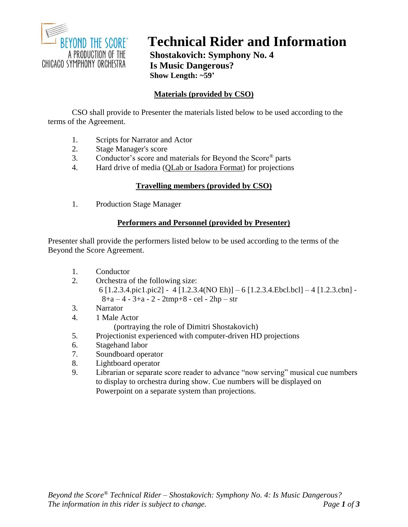

# **Technical Rider and Information**

**Shostakovich: Symphony No. 4 Is Music Dangerous? Show Length: ~59'**

# **Materials (provided by CSO)**

CSO shall provide to Presenter the materials listed below to be used according to the terms of the Agreement.

- 1. Scripts for Narrator and Actor
- 2. Stage Manager's score<br>3. Conductor's score and
- 3. Conductor's score and materials for Beyond the Score® parts
- 4. Hard drive of media (QLab or Isadora Format) for projections

## **Travelling members (provided by CSO)**

1. Production Stage Manager

## **Performers and Personnel (provided by Presenter)**

Presenter shall provide the performers listed below to be used according to the terms of the Beyond the Score Agreement.

- 1. Conductor
- 2. Orchestra of the following size: 6 [1.2.3.4.pic1.pic2] - 4 [1.2.3.4(NO Eh)] – 6 [1.2.3.4.Ebcl.bcl] – 4 [1.2.3.cbn] -  $8+a-4-3+a-2-2tmp+8-cel-2hp-str$
- 3. Narrator
- 4. 1 Male Actor

(portraying the role of Dimitri Shostakovich)

- 5. Projectionist experienced with computer-driven HD projections
- 6. Stagehand labor
- 7. Soundboard operator
- 8. Lightboard operator
- 9. Librarian or separate score reader to advance "now serving" musical cue numbers to display to orchestra during show. Cue numbers will be displayed on Powerpoint on a separate system than projections.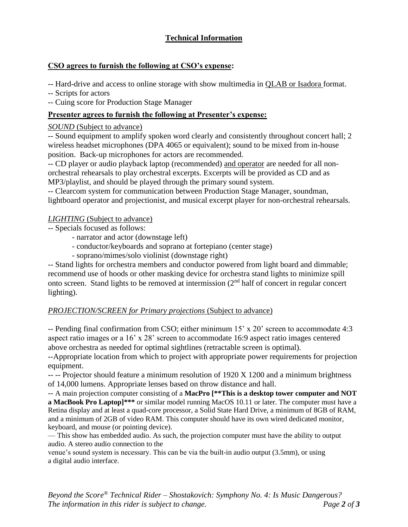# **Technical Information**

## **CSO agrees to furnish the following at CSO's expense:**

-- Hard-drive and access to online storage with show multimedia in QLAB or Isadora format.

-- Scripts for actors

-- Cuing score for Production Stage Manager

## **Presenter agrees to furnish the following at Presenter's expense:**

#### *SOUND* (Subject to advance)

-- Sound equipment to amplify spoken word clearly and consistently throughout concert hall; 2 wireless headset microphones (DPA 4065 or equivalent); sound to be mixed from in-house position. Back-up microphones for actors are recommended.

-- CD player or audio playback laptop (recommended) and operator are needed for all nonorchestral rehearsals to play orchestral excerpts. Excerpts will be provided as CD and as MP3/playlist, and should be played through the primary sound system.

-- Clearcom system for communication between Production Stage Manager, soundman, lightboard operator and projectionist, and musical excerpt player for non-orchestral rehearsals.

#### *LIGHTING* (Subject to advance)

- -- Specials focused as follows:
	- narrator and actor (downstage left)
	- conductor/keyboards and soprano at fortepiano (center stage)
	- soprano/mimes/solo violinist (downstage right)

-- Stand lights for orchestra members and conductor powered from light board and dimmable; recommend use of hoods or other masking device for orchestra stand lights to minimize spill onto screen. Stand lights to be removed at intermission (2nd half of concert in regular concert lighting).

# *PROJECTION/SCREEN for Primary projections* (Subject to advance)

-- Pending final confirmation from CSO; either minimum 15' x 20' screen to accommodate 4:3 aspect ratio images or a 16' x 28' screen to accommodate 16:9 aspect ratio images centered above orchestra as needed for optimal sightlines (retractable screen is optimal).

--Appropriate location from which to project with appropriate power requirements for projection equipment.

-- -- Projector should feature a minimum resolution of 1920 X 1200 and a minimum brightness of 14,000 lumens. Appropriate lenses based on throw distance and hall.

-- A main projection computer consisting of a **MacPro [\*\*This is a desktop tower computer and NOT a MacBook Pro Laptop]\*\*\*** or similar model running MacOS 10.11 or later. The computer must have a Retina display and at least a quad-core processor, a Solid State Hard Drive, a minimum of 8GB of RAM, and a minimum of 2GB of video RAM. This computer should have its own wired dedicated monitor, keyboard, and mouse (or pointing device).

— This show has embedded audio. As such, the projection computer must have the ability to output audio. A stereo audio connection to the

venue's sound system is necessary. This can be via the built-in audio output (3.5mm), or using a digital audio interface.

*Beyond the Score® Technical Rider – Shostakovich: Symphony No. 4: Is Music Dangerous? The information in this rider is subject to change. Page 2 of 3*